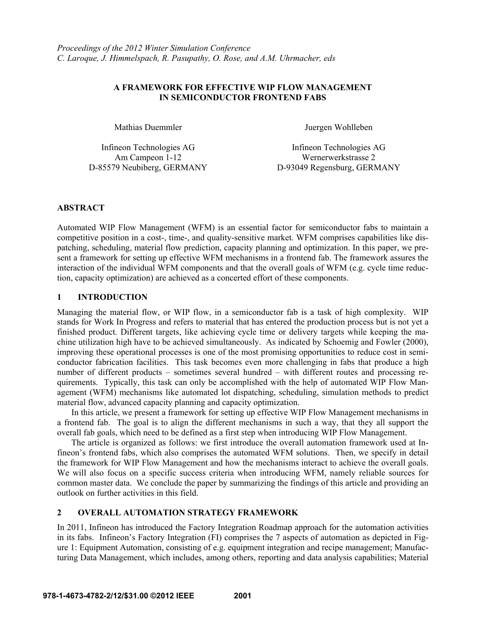## **A FRAMEWORK FOR EFFECTIVE WIP FLOW MANAGEMENT IN SEMICONDUCTOR FRONTEND FABS**

Mathias Duemmler **Juergen Wohlleben** 

Infineon Technologies AG Infineon Technologies AG Am Campeon 1-12 Wernerwerkstrasse 2 D-85579 Neubiberg, GERMANY D-93049 Regensburg, GERMANY

# **ABSTRACT**

Automated WIP Flow Management (WFM) is an essential factor for semiconductor fabs to maintain a competitive position in a cost-, time-, and quality-sensitive market. WFM comprises capabilities like dispatching, scheduling, material flow prediction, capacity planning and optimization. In this paper, we present a framework for setting up effective WFM mechanisms in a frontend fab. The framework assures the interaction of the individual WFM components and that the overall goals of WFM (e.g. cycle time reduction, capacity optimization) are achieved as a concerted effort of these components.

# **1 INTRODUCTION**

Managing the material flow, or WIP flow, in a semiconductor fab is a task of high complexity. WIP stands for Work In Progress and refers to material that has entered the production process but is not yet a finished product. Different targets, like achieving cycle time or delivery targets while keeping the machine utilization high have to be achieved simultaneously. As indicated by Schoemig and Fowler (2000), improving these operational processes is one of the most promising opportunities to reduce cost in semiconductor fabrication facilities. This task becomes even more challenging in fabs that produce a high number of different products – sometimes several hundred – with different routes and processing requirements. Typically, this task can only be accomplished with the help of automated WIP Flow Management (WFM) mechanisms like automated lot dispatching, scheduling, simulation methods to predict material flow, advanced capacity planning and capacity optimization.

 In this article, we present a framework for setting up effective WIP Flow Management mechanisms in a frontend fab. The goal is to align the different mechanisms in such a way, that they all support the overall fab goals, which need to be defined as a first step when introducing WIP Flow Management.

 The article is organized as follows: we first introduce the overall automation framework used at Infineon's frontend fabs, which also comprises the automated WFM solutions. Then, we specify in detail the framework for WIP Flow Management and how the mechanisms interact to achieve the overall goals. We will also focus on a specific success criteria when introducing WFM, namely reliable sources for common master data. We conclude the paper by summarizing the findings of this article and providing an outlook on further activities in this field.

## **2 OVERALL AUTOMATION STRATEGY FRAMEWORK**

In 2011, Infineon has introduced the Factory Integration Roadmap approach for the automation activities in its fabs. Infineon's Factory Integration (FI) comprises the 7 aspects of automation as depicted in Figure 1: Equipment Automation, consisting of e.g. equipment integration and recipe management; Manufacturing Data Management, which includes, among others, reporting and data analysis capabilities; Material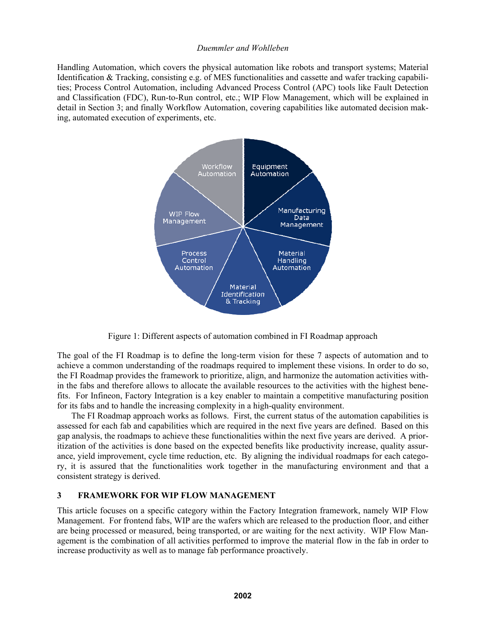Handling Automation, which covers the physical automation like robots and transport systems; Material Identification & Tracking, consisting e.g. of MES functionalities and cassette and wafer tracking capabilities; Process Control Automation, including Advanced Process Control (APC) tools like Fault Detection and Classification (FDC), Run-to-Run control, etc.; WIP Flow Management, which will be explained in detail in Section 3; and finally Workflow Automation, covering capabilities like automated decision making, automated execution of experiments, etc.



Figure 1: Different aspects of automation combined in FI Roadmap approach

The goal of the FI Roadmap is to define the long-term vision for these 7 aspects of automation and to achieve a common understanding of the roadmaps required to implement these visions. In order to do so, the FI Roadmap provides the framework to prioritize, align, and harmonize the automation activities within the fabs and therefore allows to allocate the available resources to the activities with the highest benefits. For Infineon, Factory Integration is a key enabler to maintain a competitive manufacturing position for its fabs and to handle the increasing complexity in a high-quality environment.

The FI Roadmap approach works as follows. First, the current status of the automation capabilities is assessed for each fab and capabilities which are required in the next five years are defined. Based on this gap analysis, the roadmaps to achieve these functionalities within the next five years are derived. A prioritization of the activities is done based on the expected benefits like productivity increase, quality assurance, yield improvement, cycle time reduction, etc. By aligning the individual roadmaps for each category, it is assured that the functionalities work together in the manufacturing environment and that a consistent strategy is derived.

## **3 FRAMEWORK FOR WIP FLOW MANAGEMENT**

This article focuses on a specific category within the Factory Integration framework, namely WIP Flow Management. For frontend fabs, WIP are the wafers which are released to the production floor, and either are being processed or measured, being transported, or are waiting for the next activity. WIP Flow Management is the combination of all activities performed to improve the material flow in the fab in order to increase productivity as well as to manage fab performance proactively.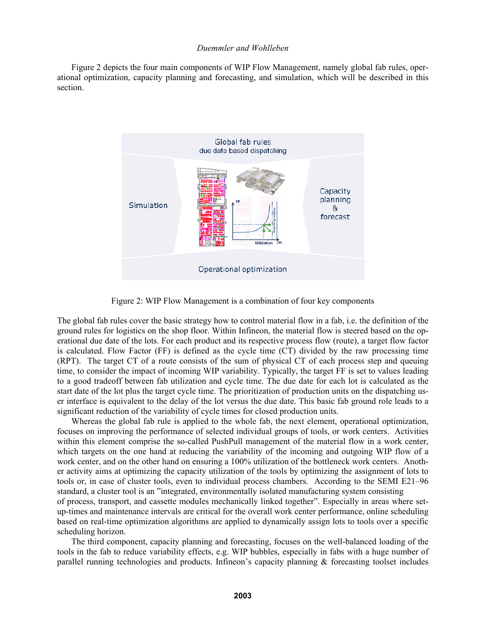Figure 2 depicts the four main components of WIP Flow Management, namely global fab rules, operational optimization, capacity planning and forecasting, and simulation, which will be described in this section.



Figure 2: WIP Flow Management is a combination of four key components

The global fab rules cover the basic strategy how to control material flow in a fab, i.e. the definition of the ground rules for logistics on the shop floor. Within Infineon, the material flow is steered based on the operational due date of the lots. For each product and its respective process flow (route), a target flow factor is calculated. Flow Factor (FF) is defined as the cycle time (CT) divided by the raw processing time (RPT). The target CT of a route consists of the sum of physical CT of each process step and queuing time, to consider the impact of incoming WIP variability. Typically, the target FF is set to values leading to a good tradeoff between fab utilization and cycle time. The due date for each lot is calculated as the start date of the lot plus the target cycle time. The prioritization of production units on the dispatching user interface is equivalent to the delay of the lot versus the due date. This basic fab ground role leads to a significant reduction of the variability of cycle times for closed production units.

Whereas the global fab rule is applied to the whole fab, the next element, operational optimization, focuses on improving the performance of selected individual groups of tools, or work centers. Activities within this element comprise the so-called PushPull management of the material flow in a work center, which targets on the one hand at reducing the variability of the incoming and outgoing WIP flow of a work center, and on the other hand on ensuring a 100% utilization of the bottleneck work centers. Another activity aims at optimizing the capacity utilization of the tools by optimizing the assignment of lots to tools or, in case of cluster tools, even to individual process chambers. According to the SEMI E21–96 standard, a cluster tool is an "integrated, environmentally isolated manufacturing system consisting of process, transport, and cassette modules mechanically linked together". Especially in areas where setup-times and maintenance intervals are critical for the overall work center performance, online scheduling based on real-time optimization algorithms are applied to dynamically assign lots to tools over a specific scheduling horizon.

 The third component, capacity planning and forecasting, focuses on the well-balanced loading of the tools in the fab to reduce variability effects, e.g. WIP bubbles, especially in fabs with a huge number of parallel running technologies and products. Infineon's capacity planning & forecasting toolset includes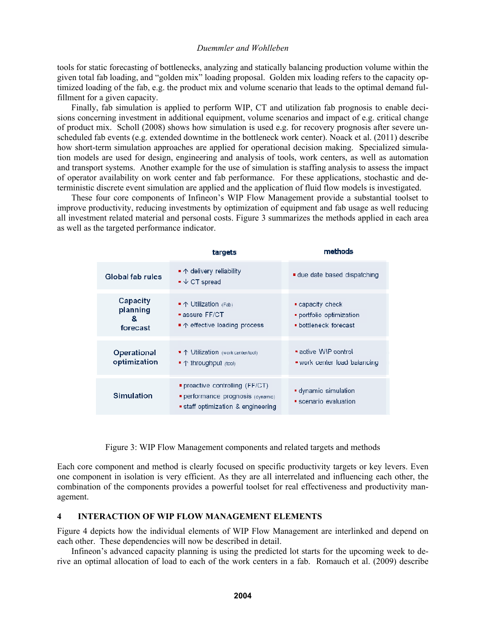tools for static forecasting of bottlenecks, analyzing and statically balancing production volume within the given total fab loading, and "golden mix" loading proposal. Golden mix loading refers to the capacity optimized loading of the fab, e.g. the product mix and volume scenario that leads to the optimal demand fulfillment for a given capacity.

 Finally, fab simulation is applied to perform WIP, CT and utilization fab prognosis to enable decisions concerning investment in additional equipment, volume scenarios and impact of e.g. critical change of product mix. Scholl (2008) shows how simulation is used e.g. for recovery prognosis after severe unscheduled fab events (e.g. extended downtime in the bottleneck work center). Noack et al. (2011) describe how short-term simulation approaches are applied for operational decision making. Specialized simulation models are used for design, engineering and analysis of tools, work centers, as well as automation and transport systems. Another example for the use of simulation is staffing analysis to assess the impact of operator availability on work center and fab performance. For these applications, stochastic and deterministic discrete event simulation are applied and the application of fluid flow models is investigated.

 These four core components of Infineon's WIP Flow Management provide a substantial toolset to improve productivity, reducing investments by optimization of equipment and fab usage as well reducing all investment related material and personal costs. Figure 3 summarizes the methods applied in each area as well as the targeted performance indicator.

|                                       | targets                                                                                                                        | methods                                                                            |
|---------------------------------------|--------------------------------------------------------------------------------------------------------------------------------|------------------------------------------------------------------------------------|
| Global fab rules                      | $\bullet$ $\uparrow$ delivery reliability<br>$\bullet \downarrow$ CT spread                                                    | due date based dispatching                                                         |
| Capacity<br>planning<br>&<br>forecast | $\bullet$ $\uparrow$ Utilization (Fab)<br>$\blacksquare$ assure $FF/CT$<br>$\blacksquare$ $\uparrow$ effective loading process | $\blacksquare$ capacity check<br>· portfolio optimization<br>. bottleneck forecast |
| Operational<br>optimization           | ■ 个 Utilization (work center/tool)<br>$\blacksquare$ $\uparrow$ throughput (tool)                                              | active WIP control<br>• work center load balancing                                 |
| <b>Simulation</b>                     | • proactive controlling (FF/CT)<br>performance prognosis (dynamic)<br>• staff optimization & engineering                       | · dynamic simulation<br>• scenario evaluation                                      |

Figure 3: WIP Flow Management components and related targets and methods

Each core component and method is clearly focused on specific productivity targets or key levers. Even one component in isolation is very efficient. As they are all interrelated and influencing each other, the combination of the components provides a powerful toolset for real effectiveness and productivity management.

### **4 INTERACTION OF WIP FLOW MANAGEMENT ELEMENTS**

Figure 4 depicts how the individual elements of WIP Flow Management are interlinked and depend on each other. These dependencies will now be described in detail.

Infineon's advanced capacity planning is using the predicted lot starts for the upcoming week to derive an optimal allocation of load to each of the work centers in a fab. Romauch et al. (2009) describe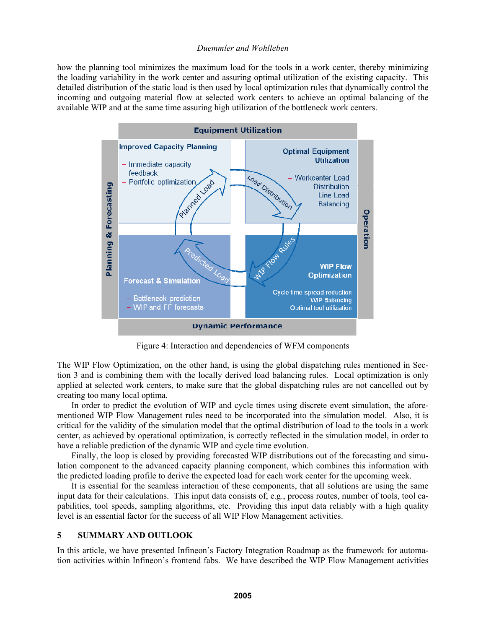how the planning tool minimizes the maximum load for the tools in a work center, thereby minimizing the loading variability in the work center and assuring optimal utilization of the existing capacity. This detailed distribution of the static load is then used by local optimization rules that dynamically control the incoming and outgoing material flow at selected work centers to achieve an optimal balancing of the available WIP and at the same time assuring high utilization of the bottleneck work centers.



Figure 4: Interaction and dependencies of WFM components

The WIP Flow Optimization, on the other hand, is using the global dispatching rules mentioned in Section 3 and is combining them with the locally derived load balancing rules. Local optimization is only applied at selected work centers, to make sure that the global dispatching rules are not cancelled out by creating too many local optima.

In order to predict the evolution of WIP and cycle times using discrete event simulation, the aforementioned WIP Flow Management rules need to be incorporated into the simulation model. Also, it is critical for the validity of the simulation model that the optimal distribution of load to the tools in a work center, as achieved by operational optimization, is correctly reflected in the simulation model, in order to have a reliable prediction of the dynamic WIP and cycle time evolution.

Finally, the loop is closed by providing forecasted WIP distributions out of the forecasting and simulation component to the advanced capacity planning component, which combines this information with the predicted loading profile to derive the expected load for each work center for the upcoming week.

It is essential for the seamless interaction of these components, that all solutions are using the same input data for their calculations. This input data consists of, e.g., process routes, number of tools, tool capabilities, tool speeds, sampling algorithms, etc. Providing this input data reliably with a high quality level is an essential factor for the success of all WIP Flow Management activities.

### **5 SUMMARY AND OUTLOOK**

In this article, we have presented Infineon's Factory Integration Roadmap as the framework for automation activities within Infineon's frontend fabs. We have described the WIP Flow Management activities